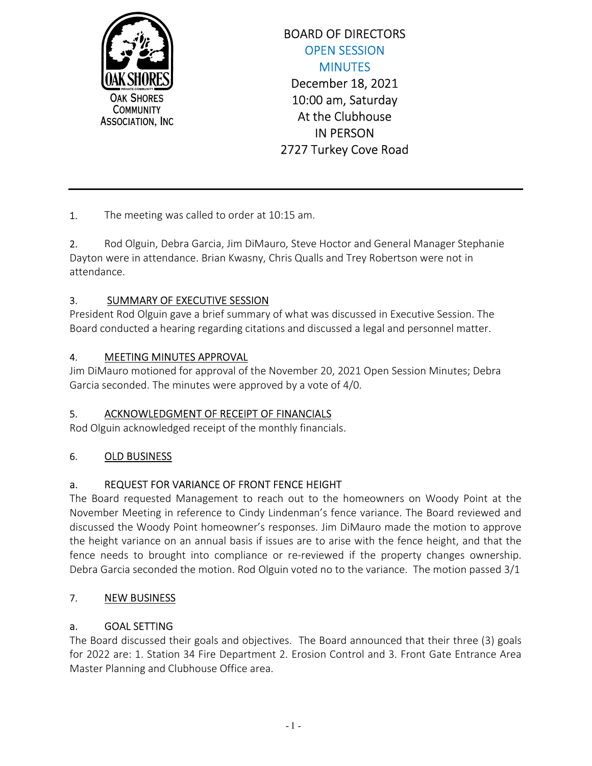

# BOARD OF DIRECTORS OPEN SESSION **MINUTES** December 18, 2021 10:00 am, Saturday At the Clubhouse IN PERSON 2727 Turkey Cove Road

1. The meeting was called to order at 10:15 am.

2. Rod Olguin, Debra Garcia, Jim DiMauro, Steve Hoctor and General Manager Stephanie Dayton were in attendance. Brian Kwasny, Chris Qualls and Trey Robertson were not in attendance.

#### 3. SUMMARY OF EXECUTIVE SESSION

President Rod Olguin gave a brief summary of what was discussed in Executive Session. The Board conducted a hearing regarding citations and discussed a legal and personnel matter.

#### 4. MEETING MINUTES APPROVAL

Jim DiMauro motioned for approval of the November 20, 2021 Open Session Minutes; Debra Garcia seconded. The minutes were approved by a vote of 4/0.

#### 5. ACKNOWLEDGMENT OF RECEIPT OF FINANCIALS

Rod Olguin acknowledged receipt of the monthly financials.

#### 6. OLD BUSINESS

## a. REQUEST FOR VARIANCE OF FRONT FENCE HEIGHT

The Board requested Management to reach out to the homeowners on Woody Point at the November Meeting in reference to Cindy Lindenman's fence variance. The Board reviewed and discussed the Woody Point homeowner's responses. Jim DiMauro made the motion to approve the height variance on an annual basis if issues are to arise with the fence height, and that the fence needs to brought into compliance or re-reviewed if the property changes ownership. Debra Garcia seconded the motion. Rod Olguin voted no to the variance. The motion passed 3/1

#### 7. NEW BUSINESS

#### a. GOAL SETTING

The Board discussed their goals and objectives. The Board announced that their three (3) goals for 2022 are: 1. Station 34 Fire Department 2. Erosion Control and 3. Front Gate Entrance Area Master Planning and Clubhouse Office area.